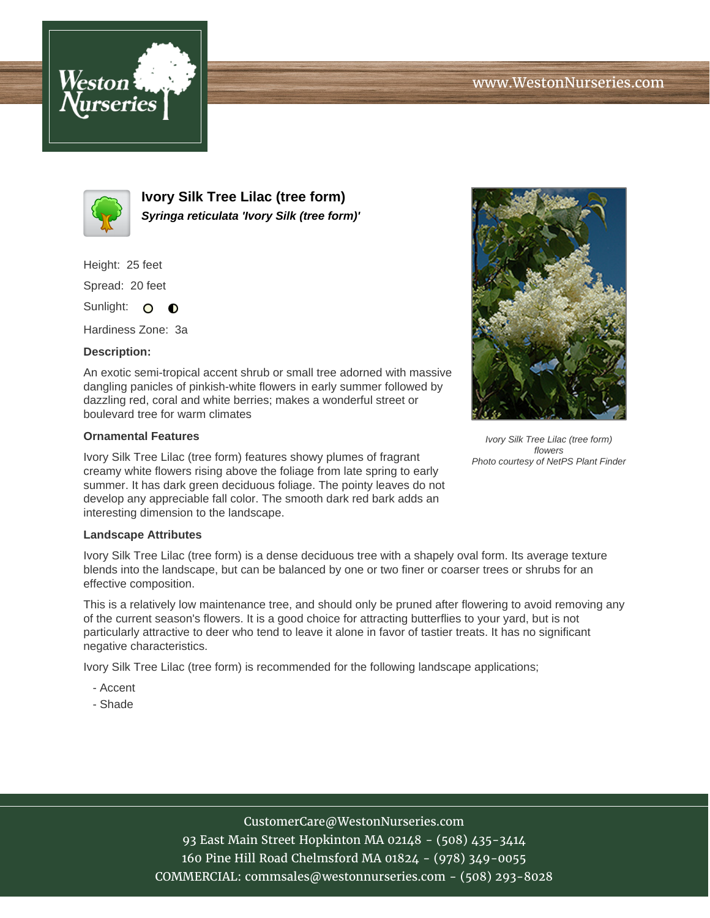



**Ivory Silk Tree Lilac (tree form) Syringa reticulata 'Ivory Silk (tree form)'**

Height: 25 feet

Spread: 20 feet

Sunlight: O **O** 

Hardiness Zone: 3a

## **Description:**

An exotic semi-tropical accent shrub or small tree adorned with massive dangling panicles of pinkish-white flowers in early summer followed by dazzling red, coral and white berries; makes a wonderful street or boulevard tree for warm climates

## **Ornamental Features**

Ivory Silk Tree Lilac (tree form) features showy plumes of fragrant creamy white flowers rising above the foliage from late spring to early summer. It has dark green deciduous foliage. The pointy leaves do not develop any appreciable fall color. The smooth dark red bark adds an interesting dimension to the landscape.

## **Landscape Attributes**

Ivory Silk Tree Lilac (tree form) is a dense deciduous tree with a shapely oval form. Its average texture blends into the landscape, but can be balanced by one or two finer or coarser trees or shrubs for an effective composition.

This is a relatively low maintenance tree, and should only be pruned after flowering to avoid removing any of the current season's flowers. It is a good choice for attracting butterflies to your yard, but is not particularly attractive to deer who tend to leave it alone in favor of tastier treats. It has no significant negative characteristics.

Ivory Silk Tree Lilac (tree form) is recommended for the following landscape applications;

- Accent
- Shade



Ivory Silk Tree Lilac (tree form) flowers Photo courtesy of NetPS Plant Finder

CustomerCare@WestonNurseries.com

93 East Main Street Hopkinton MA 02148 - (508) 435-3414 160 Pine Hill Road Chelmsford MA 01824 - (978) 349-0055 COMMERCIAL: commsales@westonnurseries.com - (508) 293-8028